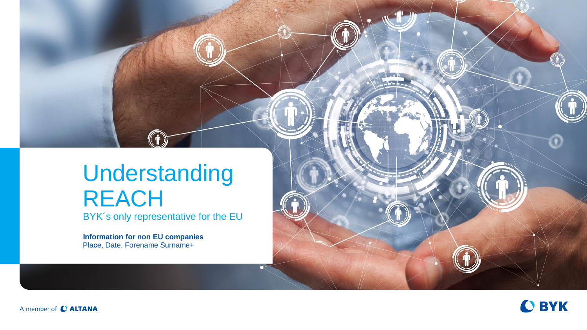# Understanding REACH

BYK´s only representative for the EU

**Information for non EU companies** Place, Date, Forename Surname+



A member of C ALTANA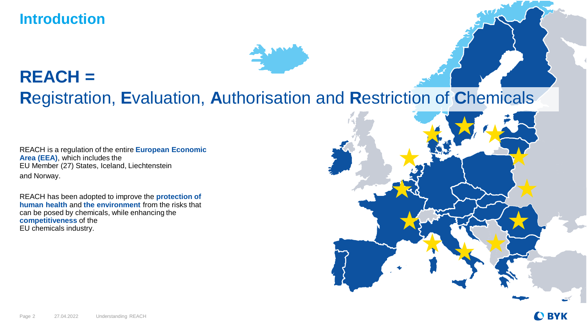#### **Introduction**

### **REACH = R**egistration, **E**valuation, **A**uthorisation and **R**estriction of **C**hemicals

REACH is a regulation of the entire **European Economic Area (EEA)**, which includes the EU Member (27) States, Iceland, Liechtenstein and Norway.

REACH has been adopted to improve the **protection of human health** and **the environment** from the risks that can be posed by chemicals, while enhancing the **competitiveness** of the EU chemicals industry.

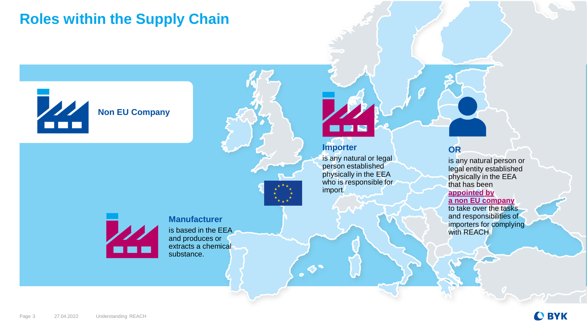### **Roles within the Supply Chain**

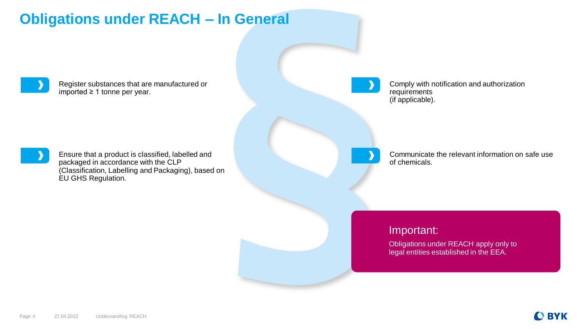#### **Obligations under REACH – In General**



Register substances that are manufactured or imported ≥ 1 tonne per year.



Comply with notification and authorization requirements (if applicable).

Communicate the relevant information on safe use of chemicals.

Important:

Obligations under REACH apply only to legal entities established in the EEA.

Ensure that a product is classified, labelled and packaged in accordance with the CLP (Classification, Labelling and Packaging), based on EU GHS Regulation.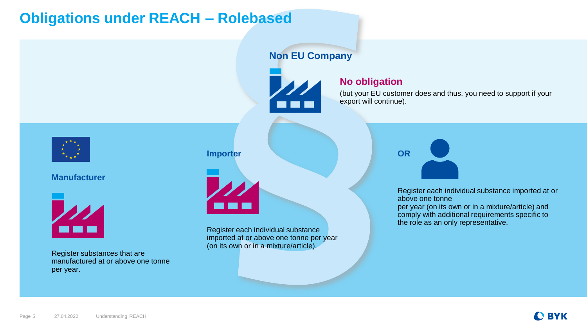#### **Obligations under REACH – Rolebased**



**Non EU Company**

#### **No obligation**

(but your EU customer does and thus, you need to support if your export will continue).



**Manufacturer**



Register substances that are manufactured at or above one tonne per year.

**Importer**



Register each individual substance imported at or above one tonne per year (on its own or in a mixture/article).

**OR**

Register each individual substance imported at or above one tonne

per year (on its own or in a mixture/article) and comply with additional requirements specific to the role as an only representative.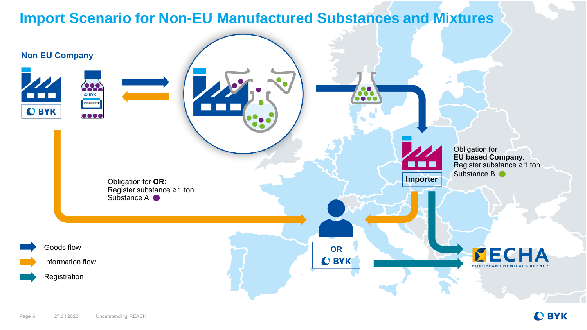#### **Import Scenario for Non-EU Manufactured Substances and Mixtures**

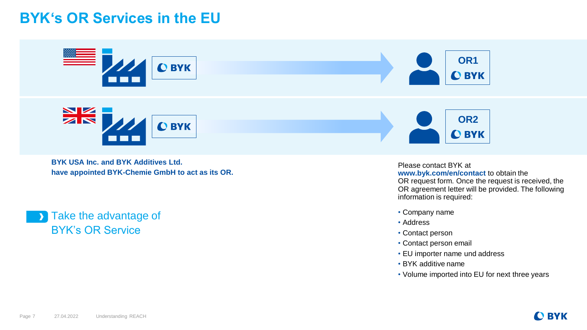#### **BYK's OR Services in the EU**



Take the advantage of BYK's OR Service

- Company name
- Address
- Contact person
- Contact person email
- EU importer name und address
- BYK additive name
- Volume imported into EU for next three years